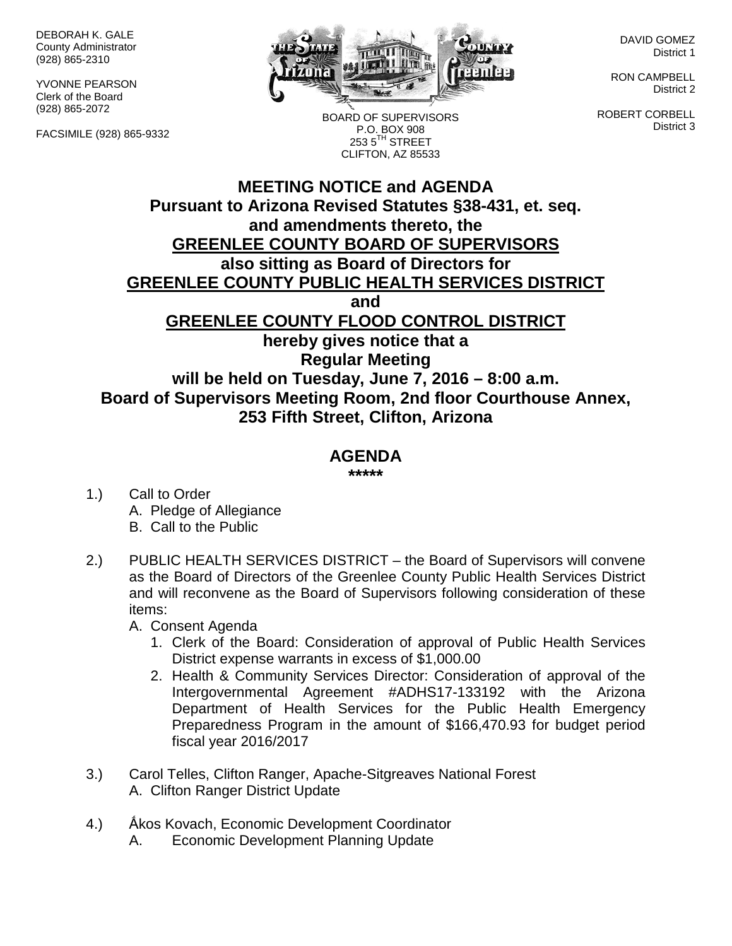DEBORAH K. GALE County Administrator (928) 865-2310

YVONNE PEARSON Clerk of the Board (928) 865-2072

FACSIMILE (928) 865-9332



BOARD OF SUPERVISORS P.O. BOX 908  $2535^{\text{TH}}$  STREET

DAVID GOMEZ District 1

RON CAMPBELL District 2

ROBERT CORBELL District 3

## **MEETING NOTICE and AGENDA Pursuant to Arizona Revised Statutes §38-431, et. seq. and amendments thereto, the GREENLEE COUNTY BOARD OF SUPERVISORS also sitting as Board of Directors for GREENLEE COUNTY PUBLIC HEALTH SERVICES DISTRICT and GREENLEE COUNTY FLOOD CONTROL DISTRICT hereby gives notice that a Regular Meeting will be held on Tuesday, June 7, 2016 – 8:00 a.m. Board of Supervisors Meeting Room, 2nd floor Courthouse Annex, 253 Fifth Street, Clifton, Arizona** CLIFTON, AZ 85533

## **AGENDA**

**\*\*\*\*\***

- 1.) Call to Order A. Pledge of Allegiance B. Call to the Public
- 2.) PUBLIC HEALTH SERVICES DISTRICT the Board of Supervisors will convene as the Board of Directors of the Greenlee County Public Health Services District and will reconvene as the Board of Supervisors following consideration of these items:

A. Consent Agenda

- 1. Clerk of the Board: Consideration of approval of Public Health Services District expense warrants in excess of \$1,000.00
- 2. Health & Community Services Director: Consideration of approval of the Intergovernmental Agreement #ADHS17-133192 with the Arizona Department of Health Services for the Public Health Emergency Preparedness Program in the amount of \$166,470.93 for budget period fiscal year 2016/2017
- 3.) Carol Telles, Clifton Ranger, Apache-Sitgreaves National Forest A. Clifton Ranger District Update
- 4.) Ấkos Kovach, Economic Development Coordinator
	- A. Economic Development Planning Update